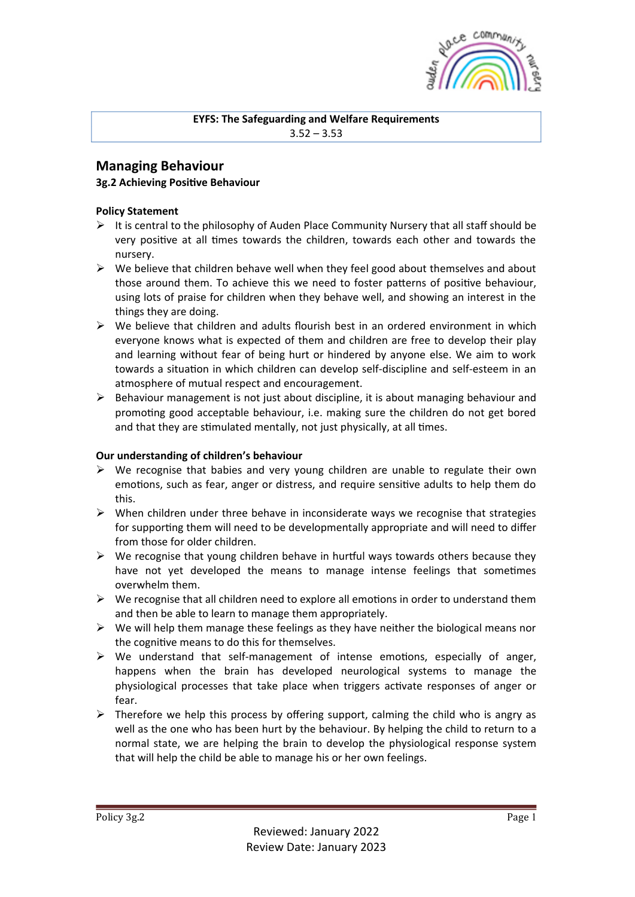

#### **EYFS: The Safeguarding and Welfare Requirements**  $3.52 - 3.53$

## **Managing Behaviour**

## **3g.2 Achieving Positive Behaviour**

## **Policy Statement**

- $\triangleright$  It is central to the philosophy of Auden Place Community Nursery that all staff should be very positive at all times towards the children, towards each other and towards the nursery.
- $\triangleright$  We believe that children behave well when they feel good about themselves and about those around them. To achieve this we need to foster patterns of positive behaviour, using lots of praise for children when they behave well, and showing an interest in the things they are doing.
- $\triangleright$  We believe that children and adults flourish best in an ordered environment in which everyone knows what is expected of them and children are free to develop their play and learning without fear of being hurt or hindered by anyone else. We aim to work towards a situation in which children can develop self-discipline and self-esteem in an atmosphere of mutual respect and encouragement.
- $\triangleright$  Behaviour management is not just about discipline, it is about managing behaviour and promoting good acceptable behaviour, i.e. making sure the children do not get bored and that they are stimulated mentally, not just physically, at all times.

#### **Our understanding of children's behaviour**

- $\triangleright$  We recognise that babies and very young children are unable to regulate their own emotions, such as fear, anger or distress, and require sensitive adults to help them do this.
- $\triangleright$  When children under three behave in inconsiderate ways we recognise that strategies for supporting them will need to be developmentally appropriate and will need to differ from those for older children.
- $\triangleright$  We recognise that young children behave in hurtful ways towards others because they have not yet developed the means to manage intense feelings that sometimes overwhelm them.
- $\triangleright$  We recognise that all children need to explore all emotions in order to understand them and then be able to learn to manage them appropriately.
- $\triangleright$  We will help them manage these feelings as they have neither the biological means nor the cognitive means to do this for themselves.
- $\triangleright$  We understand that self-management of intense emotions, especially of anger, happens when the brain has developed neurological systems to manage the physiological processes that take place when triggers activate responses of anger or fear.
- $\triangleright$  Therefore we help this process by offering support, calming the child who is angry as well as the one who has been hurt by the behaviour. By helping the child to return to a normal state, we are helping the brain to develop the physiological response system that will help the child be able to manage his or her own feelings.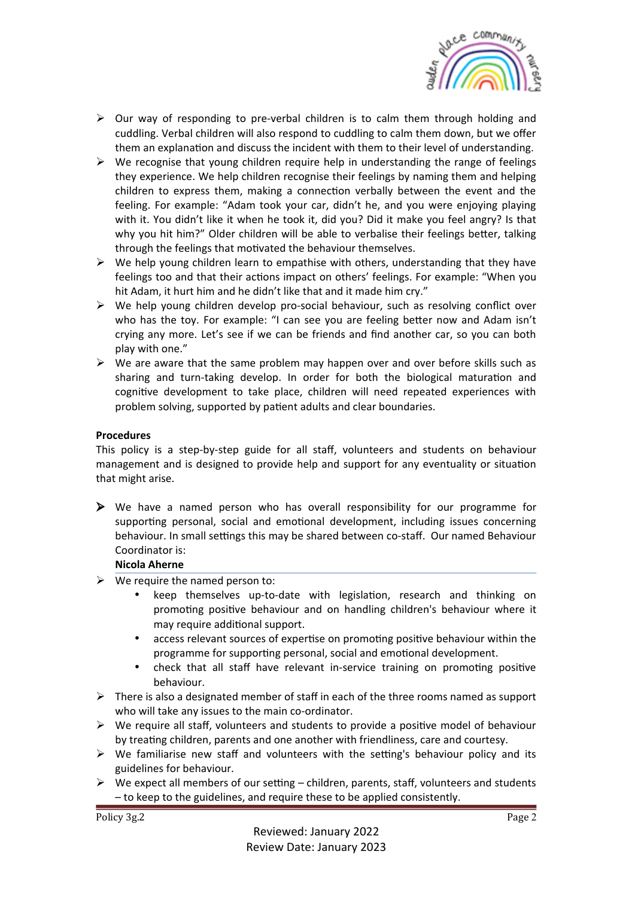

- $\triangleright$  Our way of responding to pre-verbal children is to calm them through holding and cuddling. Verbal children will also respond to cuddling to calm them down, but we offer them an explanation and discuss the incident with them to their level of understanding.
- $\triangleright$  We recognise that young children require help in understanding the range of feelings they experience. We help children recognise their feelings by naming them and helping children to express them, making a connection verbally between the event and the feeling. For example: "Adam took your car, didn't he, and you were enjoying playing with it. You didn't like it when he took it, did you? Did it make you feel angry? Is that why you hit him?" Older children will be able to verbalise their feelings better, talking through the feelings that motivated the behaviour themselves.
- $\triangleright$  We help young children learn to empathise with others, understanding that they have feelings too and that their actions impact on others' feelings. For example: "When you hit Adam, it hurt him and he didn't like that and it made him cry."
- $\triangleright$  We help young children develop pro-social behaviour, such as resolving conflict over who has the toy. For example: "I can see you are feeling better now and Adam isn't crying any more. Let's see if we can be friends and find another car, so you can both play with one."
- $\triangleright$  We are aware that the same problem may happen over and over before skills such as sharing and turn-taking develop. In order for both the biological maturation and cognitive development to take place, children will need repeated experiences with problem solving, supported by patient adults and clear boundaries.

#### **Procedures**

This policy is a step-by-step guide for all staff, volunteers and students on behaviour management and is designed to provide help and support for any eventuality or situation that might arise.

 $\triangleright$  We have a named person who has overall responsibility for our programme for supporting personal, social and emotional development, including issues concerning behaviour. In small settings this may be shared between co-staff. Our named Behaviour Coordinator is:

#### **Nicola Aherne**

- $\triangleright$  We require the named person to:
	- keep themselves up-to-date with legislation, research and thinking on promoting positive behaviour and on handling children's behaviour where it may require additional support.
	- access relevant sources of expertise on promoting positive behaviour within the programme for supporting personal, social and emotional development.
	- check that all staff have relevant in-service training on promoting positive behaviour.
- $\triangleright$  There is also a designated member of staff in each of the three rooms named as support who will take any issues to the main co-ordinator.
- $\triangleright$  We require all staff, volunteers and students to provide a positive model of behaviour by treating children, parents and one another with friendliness, care and courtesy.
- $\triangleright$  We familiarise new staff and volunteers with the setting's behaviour policy and its guidelines for behaviour.
- $\triangleright$  We expect all members of our setting children, parents, staff, volunteers and students - to keep to the guidelines, and require these to be applied consistently.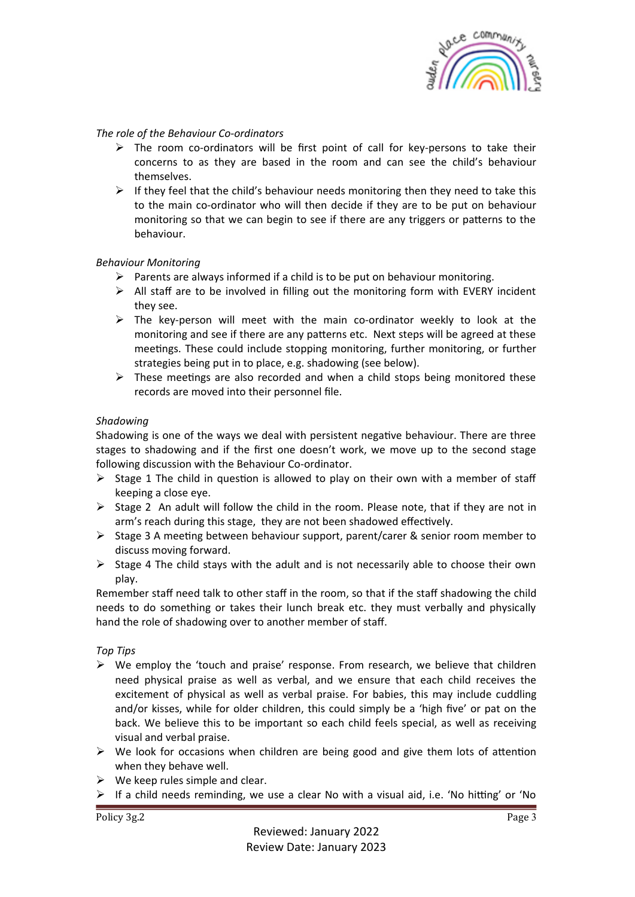

#### The role of the Behaviour Co-ordinators

- $\triangleright$  The room co-ordinators will be first point of call for key-persons to take their concerns to as they are based in the room and can see the child's behaviour themselves.
- $\triangleright$  If they feel that the child's behaviour needs monitoring then they need to take this to the main co-ordinator who will then decide if they are to be put on behaviour monitoring so that we can begin to see if there are any triggers or patterns to the behaviour.

#### *Behaviour Monitoring*

- $\triangleright$  Parents are always informed if a child is to be put on behaviour monitoring.
- $\triangleright$  All staff are to be involved in filling out the monitoring form with EVERY incident they see.
- $\triangleright$  The key-person will meet with the main co-ordinator weekly to look at the monitoring and see if there are any patterns etc. Next steps will be agreed at these meetings. These could include stopping monitoring, further monitoring, or further strategies being put in to place, e.g. shadowing (see below).
- $\triangleright$  These meetings are also recorded and when a child stops being monitored these records are moved into their personnel file.

#### *Shadowing*

Shadowing is one of the ways we deal with persistent negative behaviour. There are three stages to shadowing and if the first one doesn't work, we move up to the second stage following discussion with the Behaviour Co-ordinator.

- $\triangleright$  Stage 1 The child in question is allowed to play on their own with a member of staff keeping a close eye.
- $\triangleright$  Stage 2 An adult will follow the child in the room. Please note, that if they are not in arm's reach during this stage, they are not been shadowed effectively.
- $\triangleright$  Stage 3 A meeting between behaviour support, parent/carer & senior room member to discuss moving forward.
- $\triangleright$  Stage 4 The child stays with the adult and is not necessarily able to choose their own play.

Remember staff need talk to other staff in the room, so that if the staff shadowing the child needs to do something or takes their lunch break etc. they must verbally and physically hand the role of shadowing over to another member of staff.

#### *Top Tips*

- $\triangleright$  We employ the 'touch and praise' response. From research, we believe that children need physical praise as well as verbal, and we ensure that each child receives the excitement of physical as well as verbal praise. For babies, this may include cuddling and/or kisses, while for older children, this could simply be a 'high five' or pat on the back. We believe this to be important so each child feels special, as well as receiving visual and verbal praise.
- $\triangleright$  We look for occasions when children are being good and give them lots of attention when they behave well.
- $\triangleright$  We keep rules simple and clear.
- $\triangleright$  If a child needs reminding, we use a clear No with a visual aid, i.e. 'No hitting' or 'No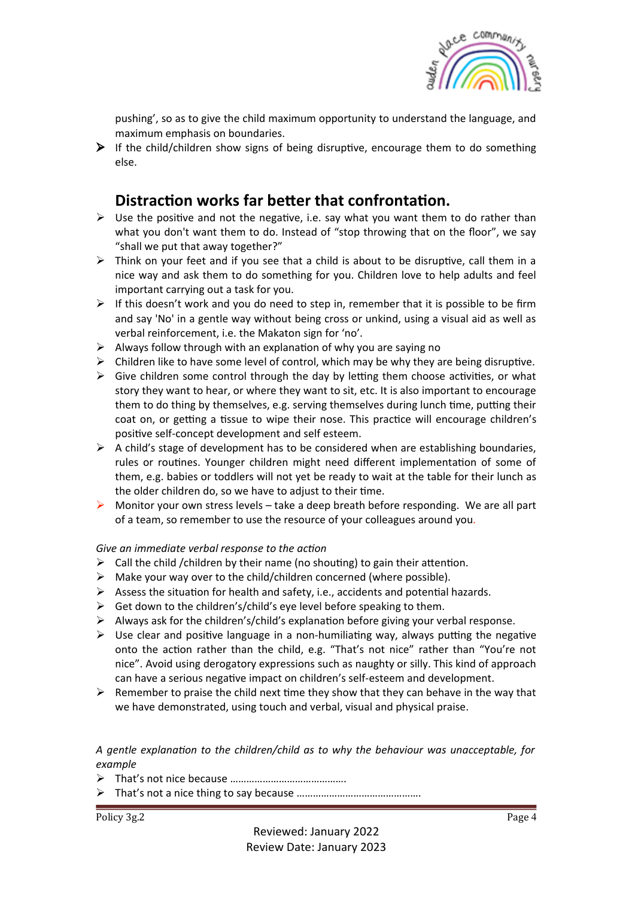

pushing', so as to give the child maximum opportunity to understand the language, and maximum emphasis on boundaries.

 $\triangleright$  If the child/children show signs of being disruptive, encourage them to do something else. 

# **Distraction works far better that confrontation.**

- $\triangleright$  Use the positive and not the negative, i.e. say what you want them to do rather than what you don't want them to do. Instead of "stop throwing that on the floor", we say "shall we put that away together?"
- $\triangleright$  Think on your feet and if you see that a child is about to be disruptive, call them in a nice way and ask them to do something for you. Children love to help adults and feel important carrying out a task for you.
- $\triangleright$  If this doesn't work and you do need to step in, remember that it is possible to be firm and say 'No' in a gentle way without being cross or unkind, using a visual aid as well as verbal reinforcement, i.e. the Makaton sign for 'no'.
- $\triangleright$  Always follow through with an explanation of why you are saying no
- $\triangleright$  Children like to have some level of control, which may be why they are being disruptive.
- $\triangleright$  Give children some control through the day by letting them choose activities, or what story they want to hear, or where they want to sit, etc. It is also important to encourage them to do thing by themselves, e.g. serving themselves during lunch time, putting their coat on, or getting a tissue to wipe their nose. This practice will encourage children's positive self-concept development and self esteem.
- $\triangleright$  A child's stage of development has to be considered when are establishing boundaries, rules or routines. Younger children might need different implementation of some of them, e.g. babies or toddlers will not yet be ready to wait at the table for their lunch as the older children do, so we have to adjust to their time.
- $\triangleright$  Monitor your own stress levels take a deep breath before responding. We are all part of a team, so remember to use the resource of your colleagues around you.

#### Give an immediate verbal response to the action

- $\triangleright$  Call the child /children by their name (no shouting) to gain their attention.
- $\triangleright$  Make your way over to the child/children concerned (where possible).
- $\triangleright$  Assess the situation for health and safety, i.e., accidents and potential hazards.
- $\triangleright$  Get down to the children's/child's eye level before speaking to them.
- $\triangleright$  Always ask for the children's/child's explanation before giving your verbal response.
- $\triangleright$  Use clear and positive language in a non-humiliating way, always putting the negative onto the action rather than the child, e.g. "That's not nice" rather than "You're not nice". Avoid using derogatory expressions such as naughty or silly. This kind of approach can have a serious negative impact on children's self-esteem and development.
- $\triangleright$  Remember to praise the child next time they show that they can behave in the way that we have demonstrated, using touch and verbal, visual and physical praise.

*A gentle explana=on to the children/child as to why the behaviour was unacceptable, for example*

- Ø That's not nice because …………………………………….
- Ø That's not a nice thing to say because ……………………………………….

Policy 3g.2 Page 4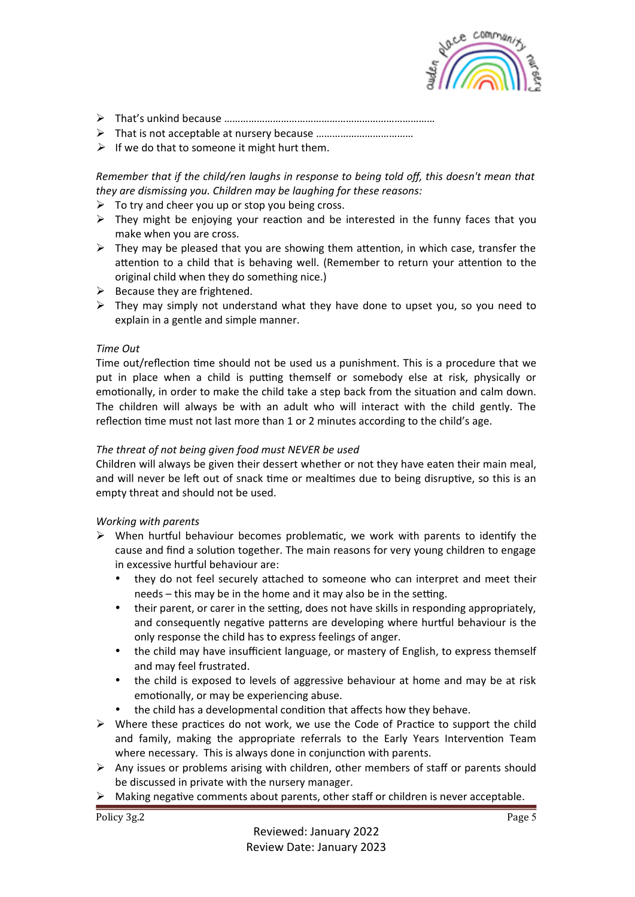

- Ø That's unkind because ……………………………………………………………………
- **▶** That is not acceptable at nursery because ……………………………………………………………………………………………
- $\triangleright$  If we do that to someone it might hurt them.

*Remember that if the child/ren laughs in response to being told off, this doesn't mean that they are dismissing you. Children may be laughing for these reasons:* 

- $\triangleright$  To try and cheer you up or stop you being cross.
- $\triangleright$  They might be enjoying your reaction and be interested in the funny faces that you make when you are cross.
- $\triangleright$  They may be pleased that you are showing them attention, in which case, transfer the attention to a child that is behaving well. (Remember to return your attention to the original child when they do something nice.)
- $\triangleright$  Because they are frightened.
- $\triangleright$  They may simply not understand what they have done to upset you, so you need to explain in a gentle and simple manner.

#### *Time Out*

Time out/reflection time should not be used us a punishment. This is a procedure that we put in place when a child is putting themself or somebody else at risk, physically or emotionally, in order to make the child take a step back from the situation and calm down. The children will always be with an adult who will interact with the child gently. The reflection time must not last more than 1 or 2 minutes according to the child's age.

#### The threat of not being given food must NEVER be used

Children will always be given their dessert whether or not they have eaten their main meal, and will never be left out of snack time or mealtimes due to being disruptive, so this is an empty threat and should not be used.

#### *Working with parents*

- $\triangleright$  When hurtful behaviour becomes problematic, we work with parents to identify the cause and find a solution together. The main reasons for very young children to engage in excessive hurtful behaviour are:
	- they do not feel securely attached to someone who can interpret and meet their needs  $-$  this may be in the home and it may also be in the setting.
	- their parent, or carer in the setting, does not have skills in responding appropriately, and consequently negative patterns are developing where hurtful behaviour is the only response the child has to express feelings of anger.
	- the child may have insufficient language, or mastery of English, to express themself and may feel frustrated.
	- the child is exposed to levels of aggressive behaviour at home and may be at risk emotionally, or may be experiencing abuse.
	- the child has a developmental condition that affects how they behave.
- $\triangleright$  Where these practices do not work, we use the Code of Practice to support the child and family, making the appropriate referrals to the Early Years Intervention Team where necessary. This is always done in conjunction with parents.
- $\triangleright$  Any issues or problems arising with children, other members of staff or parents should be discussed in private with the nursery manager.
- $\triangleright$  Making negative comments about parents, other staff or children is never acceptable.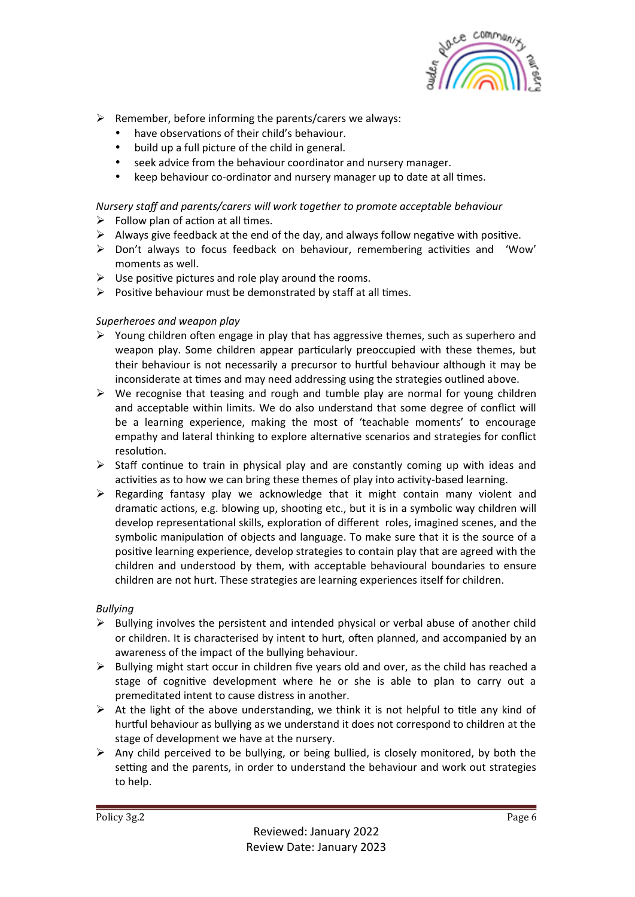

- $\triangleright$  Remember, before informing the parents/carers we always:
	- have observations of their child's behaviour.
	- build up a full picture of the child in general.
	- seek advice from the behaviour coordinator and nursery manager.
	- keep behaviour co-ordinator and nursery manager up to date at all times.

## *Nursery staff and parents/carers will work together to promote acceptable behaviour*

- $\triangleright$  Follow plan of action at all times.
- $\triangleright$  Always give feedback at the end of the day, and always follow negative with positive.
- $\triangleright$  Don't always to focus feedback on behaviour, remembering activities and 'Wow' moments as well.
- $\triangleright$  Use positive pictures and role play around the rooms.
- $\triangleright$  Positive behaviour must be demonstrated by staff at all times.

## *Superheroes and weapon play*

- $\triangleright$  Young children often engage in play that has aggressive themes, such as superhero and weapon play. Some children appear particularly preoccupied with these themes, but their behaviour is not necessarily a precursor to hurtful behaviour although it may be inconsiderate at times and may need addressing using the strategies outlined above.
- $\triangleright$  We recognise that teasing and rough and tumble play are normal for young children and acceptable within limits. We do also understand that some degree of conflict will be a learning experience, making the most of 'teachable moments' to encourage empathy and lateral thinking to explore alternative scenarios and strategies for conflict resolution.
- $\triangleright$  Staff continue to train in physical play and are constantly coming up with ideas and activities as to how we can bring these themes of play into activity-based learning.
- $\triangleright$  Regarding fantasy play we acknowledge that it might contain many violent and dramatic actions, e.g. blowing up, shooting etc., but it is in a symbolic way children will develop representational skills, exploration of different roles, imagined scenes, and the symbolic manipulation of objects and language. To make sure that it is the source of a positive learning experience, develop strategies to contain play that are agreed with the children and understood by them, with acceptable behavioural boundaries to ensure children are not hurt. These strategies are learning experiences itself for children.

## *Bullying*

- $\triangleright$  Bullying involves the persistent and intended physical or verbal abuse of another child or children. It is characterised by intent to hurt, often planned, and accompanied by an awareness of the impact of the bullying behaviour.
- $\triangleright$  Bullying might start occur in children five years old and over, as the child has reached a stage of cognitive development where he or she is able to plan to carry out a premeditated intent to cause distress in another.
- $\triangleright$  At the light of the above understanding, we think it is not helpful to title any kind of hurtful behaviour as bullying as we understand it does not correspond to children at the stage of development we have at the nursery.
- $\triangleright$  Any child perceived to be bullying, or being bullied, is closely monitored, by both the setting and the parents, in order to understand the behaviour and work out strategies to help.